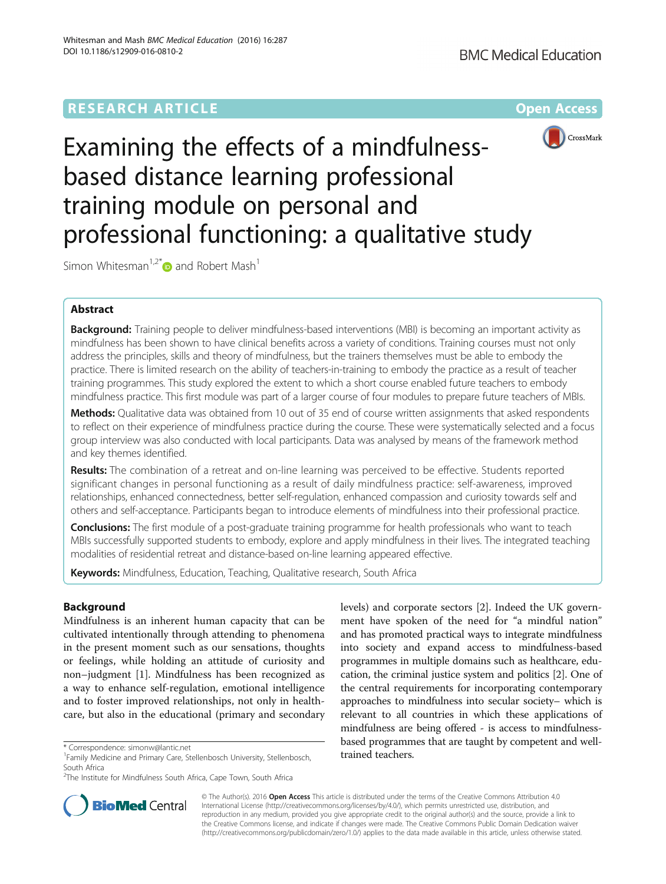## **RESEARCH ARTICLE External Structure Community Community Community Community Community Community Community Community**



# Examining the effects of a mindfulnessbased distance learning professional training module on personal and professional functioning: a qualitative study

Simon Whitesman<sup>1,2[\\*](http://orcid.org/0000-0001-7763-8748)</sup> and Robert Mash<sup>1</sup>

## Abstract

Background: Training people to deliver mindfulness-based interventions (MBI) is becoming an important activity as mindfulness has been shown to have clinical benefits across a variety of conditions. Training courses must not only address the principles, skills and theory of mindfulness, but the trainers themselves must be able to embody the practice. There is limited research on the ability of teachers-in-training to embody the practice as a result of teacher training programmes. This study explored the extent to which a short course enabled future teachers to embody mindfulness practice. This first module was part of a larger course of four modules to prepare future teachers of MBIs.

Methods: Qualitative data was obtained from 10 out of 35 end of course written assignments that asked respondents to reflect on their experience of mindfulness practice during the course. These were systematically selected and a focus group interview was also conducted with local participants. Data was analysed by means of the framework method and key themes identified.

Results: The combination of a retreat and on-line learning was perceived to be effective. Students reported significant changes in personal functioning as a result of daily mindfulness practice: self-awareness, improved relationships, enhanced connectedness, better self-regulation, enhanced compassion and curiosity towards self and others and self-acceptance. Participants began to introduce elements of mindfulness into their professional practice.

Conclusions: The first module of a post-graduate training programme for health professionals who want to teach MBIs successfully supported students to embody, explore and apply mindfulness in their lives. The integrated teaching modalities of residential retreat and distance-based on-line learning appeared effective.

Keywords: Mindfulness, Education, Teaching, Qualitative research, South Africa

## **Background**

Mindfulness is an inherent human capacity that can be cultivated intentionally through attending to phenomena in the present moment such as our sensations, thoughts or feelings, while holding an attitude of curiosity and non–judgment [[1](#page-7-0)]. Mindfulness has been recognized as a way to enhance self-regulation, emotional intelligence and to foster improved relationships, not only in healthcare, but also in the educational (primary and secondary

levels) and corporate sectors [\[2](#page-7-0)]. Indeed the UK government have spoken of the need for "a mindful nation" and has promoted practical ways to integrate mindfulness into society and expand access to mindfulness-based programmes in multiple domains such as healthcare, education, the criminal justice system and politics [\[2](#page-7-0)]. One of the central requirements for incorporating contemporary approaches to mindfulness into secular society– which is relevant to all countries in which these applications of mindfulness are being offered - is access to mindfulnessbased programmes that are taught by competent and well-



© The Author(s). 2016 Open Access This article is distributed under the terms of the Creative Commons Attribution 4.0 International License [\(http://creativecommons.org/licenses/by/4.0/](http://creativecommons.org/licenses/by/4.0/)), which permits unrestricted use, distribution, and reproduction in any medium, provided you give appropriate credit to the original author(s) and the source, provide a link to the Creative Commons license, and indicate if changes were made. The Creative Commons Public Domain Dedication waiver [\(http://creativecommons.org/publicdomain/zero/1.0/](http://creativecommons.org/publicdomain/zero/1.0/)) applies to the data made available in this article, unless otherwise stated.

trained teachers. \* Correspondence: [simonw@lantic.net](mailto:simonw@lantic.net) <sup>1</sup> Family Medicine and Primary Care, Stellenbosch University, Stellenbosch, South Africa

<sup>&</sup>lt;sup>2</sup>The Institute for Mindfulness South Africa, Cape Town, South Africa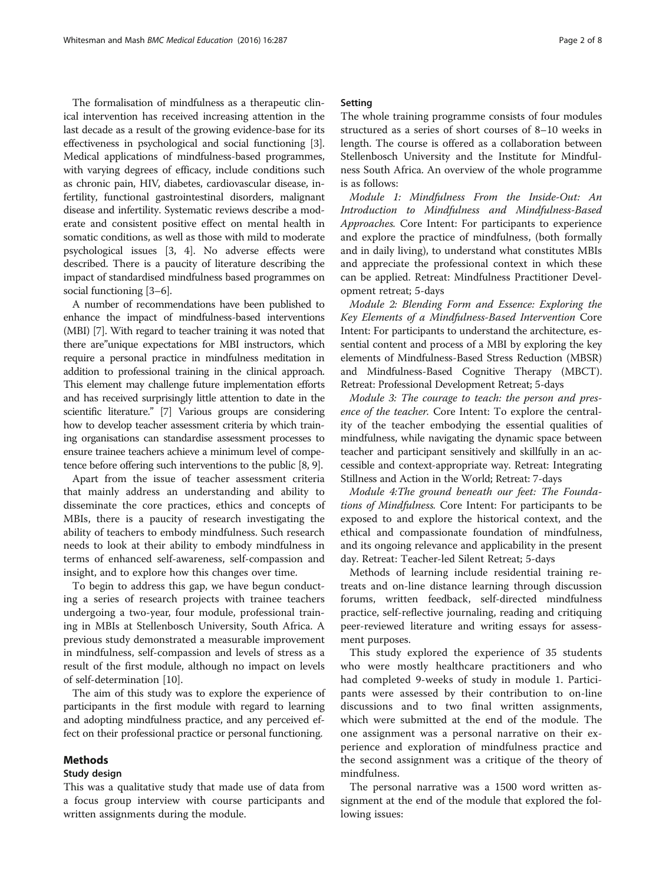The formalisation of mindfulness as a therapeutic clinical intervention has received increasing attention in the last decade as a result of the growing evidence-base for its effectiveness in psychological and social functioning [[3](#page-7-0)]. Medical applications of mindfulness-based programmes, with varying degrees of efficacy, include conditions such as chronic pain, HIV, diabetes, cardiovascular disease, infertility, functional gastrointestinal disorders, malignant disease and infertility. Systematic reviews describe a moderate and consistent positive effect on mental health in somatic conditions, as well as those with mild to moderate psychological issues [[3, 4\]](#page-7-0). No adverse effects were described. There is a paucity of literature describing the impact of standardised mindfulness based programmes on social functioning [\[3](#page-7-0)–[6\]](#page-7-0).

A number of recommendations have been published to enhance the impact of mindfulness-based interventions (MBI) [\[7\]](#page-7-0). With regard to teacher training it was noted that there are"unique expectations for MBI instructors, which require a personal practice in mindfulness meditation in addition to professional training in the clinical approach. This element may challenge future implementation efforts and has received surprisingly little attention to date in the scientific literature." [\[7\]](#page-7-0) Various groups are considering how to develop teacher assessment criteria by which training organisations can standardise assessment processes to ensure trainee teachers achieve a minimum level of competence before offering such interventions to the public [\[8, 9\]](#page-7-0).

Apart from the issue of teacher assessment criteria that mainly address an understanding and ability to disseminate the core practices, ethics and concepts of MBIs, there is a paucity of research investigating the ability of teachers to embody mindfulness. Such research needs to look at their ability to embody mindfulness in terms of enhanced self-awareness, self-compassion and insight, and to explore how this changes over time.

To begin to address this gap, we have begun conducting a series of research projects with trainee teachers undergoing a two-year, four module, professional training in MBIs at Stellenbosch University, South Africa. A previous study demonstrated a measurable improvement in mindfulness, self-compassion and levels of stress as a result of the first module, although no impact on levels of self-determination [[10](#page-7-0)].

The aim of this study was to explore the experience of participants in the first module with regard to learning and adopting mindfulness practice, and any perceived effect on their professional practice or personal functioning.

## Methods

#### Study design

This was a qualitative study that made use of data from a focus group interview with course participants and written assignments during the module.

## Setting

The whole training programme consists of four modules structured as a series of short courses of 8–10 weeks in length. The course is offered as a collaboration between Stellenbosch University and the Institute for Mindfulness South Africa. An overview of the whole programme is as follows:

Module 1: Mindfulness From the Inside-Out: An Introduction to Mindfulness and Mindfulness-Based Approaches. Core Intent: For participants to experience and explore the practice of mindfulness, (both formally and in daily living), to understand what constitutes MBIs and appreciate the professional context in which these can be applied. Retreat: Mindfulness Practitioner Development retreat; 5-days

Module 2: Blending Form and Essence: Exploring the Key Elements of a Mindfulness-Based Intervention Core Intent: For participants to understand the architecture, essential content and process of a MBI by exploring the key elements of Mindfulness-Based Stress Reduction (MBSR) and Mindfulness-Based Cognitive Therapy (MBCT). Retreat: Professional Development Retreat; 5-days

Module 3: The courage to teach: the person and presence of the teacher. Core Intent: To explore the centrality of the teacher embodying the essential qualities of mindfulness, while navigating the dynamic space between teacher and participant sensitively and skillfully in an accessible and context-appropriate way. Retreat: Integrating Stillness and Action in the World; Retreat: 7-days

Module 4:The ground beneath our feet: The Foundations of Mindfulness. Core Intent: For participants to be exposed to and explore the historical context, and the ethical and compassionate foundation of mindfulness, and its ongoing relevance and applicability in the present day. Retreat: Teacher-led Silent Retreat; 5-days

Methods of learning include residential training retreats and on-line distance learning through discussion forums, written feedback, self-directed mindfulness practice, self-reflective journaling, reading and critiquing peer-reviewed literature and writing essays for assessment purposes.

This study explored the experience of 35 students who were mostly healthcare practitioners and who had completed 9-weeks of study in module 1. Participants were assessed by their contribution to on-line discussions and to two final written assignments, which were submitted at the end of the module. The one assignment was a personal narrative on their experience and exploration of mindfulness practice and the second assignment was a critique of the theory of mindfulness.

The personal narrative was a 1500 word written assignment at the end of the module that explored the following issues: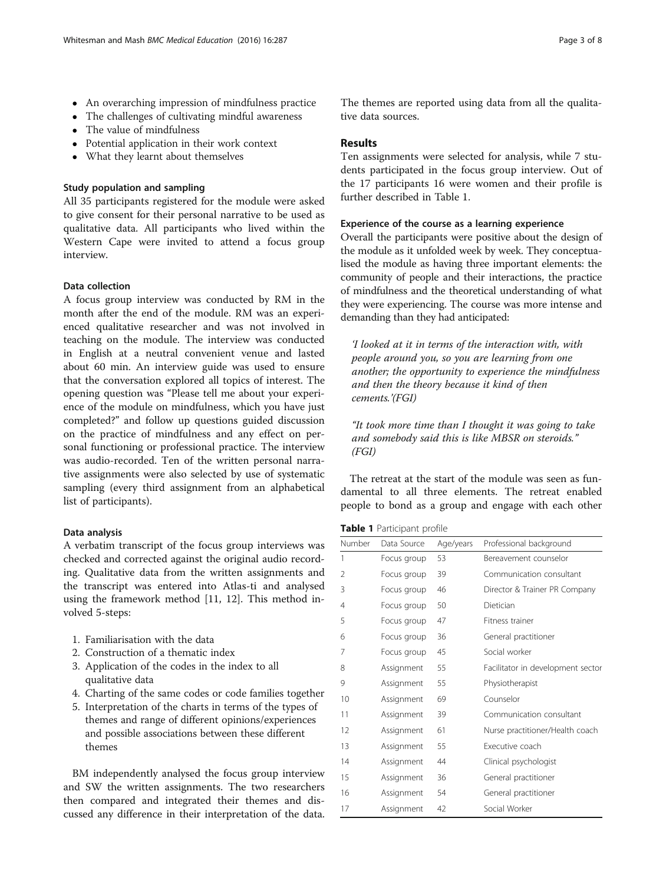- An overarching impression of mindfulness practice
- The challenges of cultivating mindful awareness
- The value of mindfulness
- Potential application in their work context
- What they learnt about themselves

## Study population and sampling

All 35 participants registered for the module were asked to give consent for their personal narrative to be used as qualitative data. All participants who lived within the Western Cape were invited to attend a focus group interview.

## Data collection

A focus group interview was conducted by RM in the month after the end of the module. RM was an experienced qualitative researcher and was not involved in teaching on the module. The interview was conducted in English at a neutral convenient venue and lasted about 60 min. An interview guide was used to ensure that the conversation explored all topics of interest. The opening question was "Please tell me about your experience of the module on mindfulness, which you have just completed?" and follow up questions guided discussion on the practice of mindfulness and any effect on personal functioning or professional practice. The interview was audio-recorded. Ten of the written personal narrative assignments were also selected by use of systematic sampling (every third assignment from an alphabetical list of participants).

## Data analysis

A verbatim transcript of the focus group interviews was checked and corrected against the original audio recording. Qualitative data from the written assignments and the transcript was entered into Atlas-ti and analysed using the framework method [\[11, 12](#page-7-0)]. This method involved 5-steps:

- 1. Familiarisation with the data
- 2. Construction of a thematic index
- 3. Application of the codes in the index to all qualitative data
- 4. Charting of the same codes or code families together
- 5. Interpretation of the charts in terms of the types of themes and range of different opinions/experiences and possible associations between these different themes

BM independently analysed the focus group interview and SW the written assignments. The two researchers then compared and integrated their themes and discussed any difference in their interpretation of the data. The themes are reported using data from all the qualitative data sources.

## Results

Ten assignments were selected for analysis, while 7 students participated in the focus group interview. Out of the 17 participants 16 were women and their profile is further described in Table 1.

## Experience of the course as a learning experience

Overall the participants were positive about the design of the module as it unfolded week by week. They conceptualised the module as having three important elements: the community of people and their interactions, the practice of mindfulness and the theoretical understanding of what they were experiencing. The course was more intense and demanding than they had anticipated:

'I looked at it in terms of the interaction with, with people around you, so you are learning from one another; the opportunity to experience the mindfulness and then the theory because it kind of then cements.'(FGI)

"It took more time than I thought it was going to take and somebody said this is like MBSR on steroids." (FGI)

The retreat at the start of the module was seen as fundamental to all three elements. The retreat enabled people to bond as a group and engage with each other

Table 1 Participant profile

| Number | Data Source | Age/years | Professional background           |
|--------|-------------|-----------|-----------------------------------|
| 1      | Focus group | 53        | Bereavement counselor             |
| 2      | Focus group | 39        | Communication consultant          |
| 3      | Focus group | 46        | Director & Trainer PR Company     |
| 4      | Focus group | 50        | Dietician                         |
| 5      | Focus group | 47        | Fitness trainer                   |
| 6      | Focus group | 36        | General practitioner              |
| 7      | Focus group | 45        | Social worker                     |
| 8      | Assignment  | 55        | Facilitator in development sector |
| 9      | Assignment  | 55        | Physiotherapist                   |
| 10     | Assignment  | 69        | Counselor                         |
| 11     | Assignment  | 39        | Communication consultant          |
| 12     | Assignment  | 61        | Nurse practitioner/Health coach   |
| 13     | Assignment  | 55        | Executive coach                   |
| 14     | Assignment  | 44        | Clinical psychologist             |
| 15     | Assignment  | 36        | General practitioner              |
| 16     | Assignment  | 54        | General practitioner              |
| 17     | Assignment  | 42        | Social Worker                     |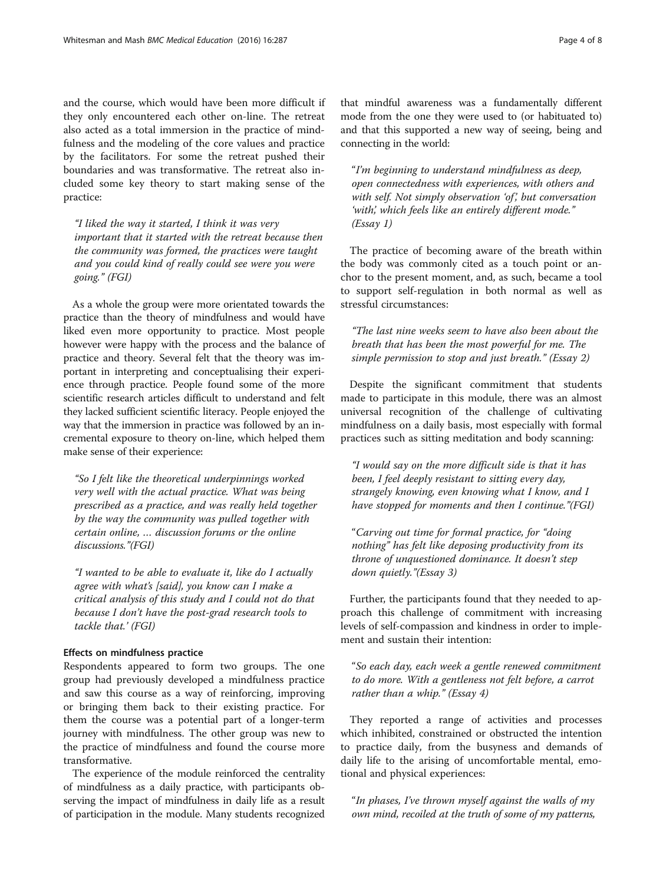and the course, which would have been more difficult if they only encountered each other on-line. The retreat also acted as a total immersion in the practice of mindfulness and the modeling of the core values and practice by the facilitators. For some the retreat pushed their boundaries and was transformative. The retreat also included some key theory to start making sense of the practice:

"I liked the way it started, I think it was very important that it started with the retreat because then the community was formed, the practices were taught and you could kind of really could see were you were going." (FGI)

As a whole the group were more orientated towards the practice than the theory of mindfulness and would have liked even more opportunity to practice. Most people however were happy with the process and the balance of practice and theory. Several felt that the theory was important in interpreting and conceptualising their experience through practice. People found some of the more scientific research articles difficult to understand and felt they lacked sufficient scientific literacy. People enjoyed the way that the immersion in practice was followed by an incremental exposure to theory on-line, which helped them make sense of their experience:

"So I felt like the theoretical underpinnings worked very well with the actual practice. What was being prescribed as a practice, and was really held together by the way the community was pulled together with certain online, … discussion forums or the online discussions."(FGI)

"I wanted to be able to evaluate it, like do I actually agree with what's [said], you know can I make a critical analysis of this study and I could not do that because I don't have the post-grad research tools to tackle that.' (FGI)

## Effects on mindfulness practice

Respondents appeared to form two groups. The one group had previously developed a mindfulness practice and saw this course as a way of reinforcing, improving or bringing them back to their existing practice. For them the course was a potential part of a longer-term journey with mindfulness. The other group was new to the practice of mindfulness and found the course more transformative.

The experience of the module reinforced the centrality of mindfulness as a daily practice, with participants observing the impact of mindfulness in daily life as a result of participation in the module. Many students recognized

"I'm beginning to understand mindfulness as deep, open connectedness with experiences, with others and with self. Not simply observation 'of', but conversation 'with', which feels like an entirely different mode." (Essay 1)

The practice of becoming aware of the breath within the body was commonly cited as a touch point or anchor to the present moment, and, as such, became a tool to support self-regulation in both normal as well as stressful circumstances:

"The last nine weeks seem to have also been about the breath that has been the most powerful for me. The simple permission to stop and just breath." (Essay 2)

Despite the significant commitment that students made to participate in this module, there was an almost universal recognition of the challenge of cultivating mindfulness on a daily basis, most especially with formal practices such as sitting meditation and body scanning:

"I would say on the more difficult side is that it has been, I feel deeply resistant to sitting every day, strangely knowing, even knowing what I know, and I have stopped for moments and then I continue."(FGI)

"Carving out time for formal practice, for "doing nothing" has felt like deposing productivity from its throne of unquestioned dominance. It doesn't step down quietly."(Essay 3)

Further, the participants found that they needed to approach this challenge of commitment with increasing levels of self-compassion and kindness in order to implement and sustain their intention:

"So each day, each week a gentle renewed commitment to do more. With a gentleness not felt before, a carrot rather than a whip." (Essay 4)

They reported a range of activities and processes which inhibited, constrained or obstructed the intention to practice daily, from the busyness and demands of daily life to the arising of uncomfortable mental, emotional and physical experiences:

"In phases, I've thrown myself against the walls of my own mind, recoiled at the truth of some of my patterns,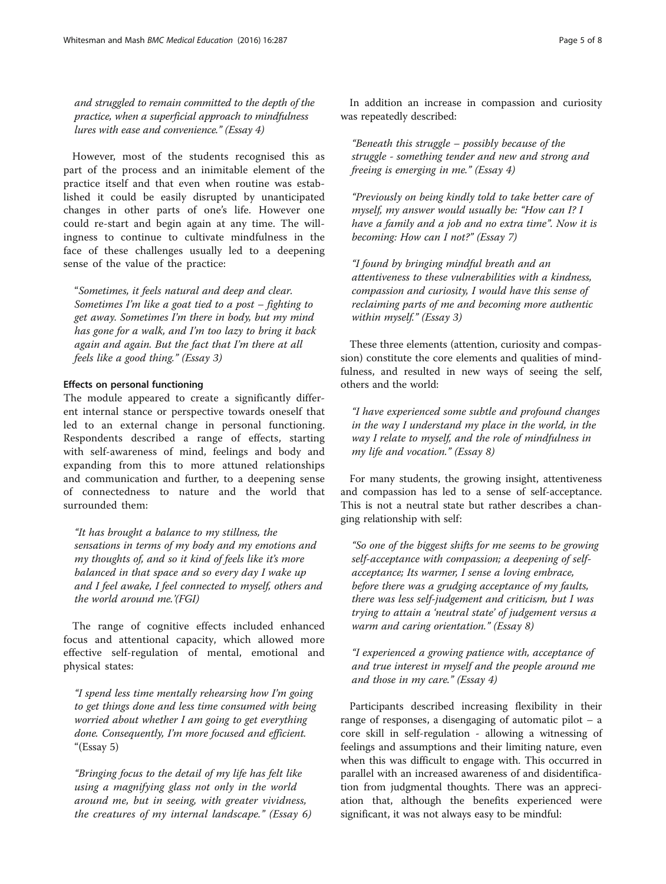and struggled to remain committed to the depth of the practice, when a superficial approach to mindfulness lures with ease and convenience." (Essay 4)

However, most of the students recognised this as part of the process and an inimitable element of the practice itself and that even when routine was established it could be easily disrupted by unanticipated changes in other parts of one's life. However one could re-start and begin again at any time. The willingness to continue to cultivate mindfulness in the face of these challenges usually led to a deepening sense of the value of the practice:

"Sometimes, it feels natural and deep and clear. Sometimes I'm like a goat tied to a post – fighting to get away. Sometimes I'm there in body, but my mind has gone for a walk, and I'm too lazy to bring it back again and again. But the fact that I'm there at all feels like a good thing." (Essay 3)

## Effects on personal functioning

The module appeared to create a significantly different internal stance or perspective towards oneself that led to an external change in personal functioning. Respondents described a range of effects, starting with self-awareness of mind, feelings and body and expanding from this to more attuned relationships and communication and further, to a deepening sense of connectedness to nature and the world that surrounded them:

"It has brought a balance to my stillness, the sensations in terms of my body and my emotions and my thoughts of, and so it kind of feels like it's more balanced in that space and so every day I wake up and I feel awake, I feel connected to myself, others and the world around me.'(FGI)

The range of cognitive effects included enhanced focus and attentional capacity, which allowed more effective self-regulation of mental, emotional and physical states:

"I spend less time mentally rehearsing how I'm going to get things done and less time consumed with being worried about whether I am going to get everything done. Consequently, I'm more focused and efficient. "(Essay 5)

"Bringing focus to the detail of my life has felt like using a magnifying glass not only in the world around me, but in seeing, with greater vividness, the creatures of my internal landscape." (Essay 6)

In addition an increase in compassion and curiosity was repeatedly described:

"Beneath this struggle – possibly because of the struggle - something tender and new and strong and freeing is emerging in me." (Essay 4)

"Previously on being kindly told to take better care of myself, my answer would usually be: "How can I? I have a family and a job and no extra time". Now it is becoming: How can I not?" (Essay 7)

"I found by bringing mindful breath and an attentiveness to these vulnerabilities with a kindness, compassion and curiosity, I would have this sense of reclaiming parts of me and becoming more authentic within myself." (Essay 3)

These three elements (attention, curiosity and compassion) constitute the core elements and qualities of mindfulness, and resulted in new ways of seeing the self, others and the world:

"I have experienced some subtle and profound changes in the way I understand my place in the world, in the way I relate to myself, and the role of mindfulness in my life and vocation." (Essay 8)

For many students, the growing insight, attentiveness and compassion has led to a sense of self-acceptance. This is not a neutral state but rather describes a changing relationship with self:

"So one of the biggest shifts for me seems to be growing self-acceptance with compassion; a deepening of selfacceptance; Its warmer, I sense a loving embrace, before there was a grudging acceptance of my faults, there was less self-judgement and criticism, but I was trying to attain a 'neutral state' of judgement versus a warm and caring orientation." (Essay 8)

"I experienced a growing patience with, acceptance of and true interest in myself and the people around me and those in my care." (Essay  $4$ )

Participants described increasing flexibility in their range of responses, a disengaging of automatic pilot – a core skill in self-regulation - allowing a witnessing of feelings and assumptions and their limiting nature, even when this was difficult to engage with. This occurred in parallel with an increased awareness of and disidentification from judgmental thoughts. There was an appreciation that, although the benefits experienced were significant, it was not always easy to be mindful: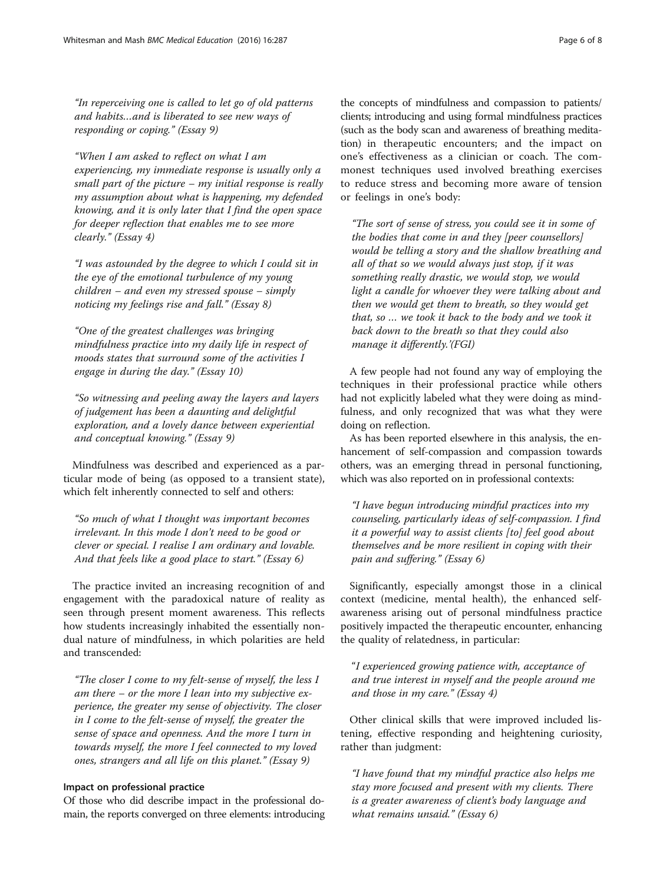"In reperceiving one is called to let go of old patterns and habits…and is liberated to see new ways of responding or coping." (Essay 9)

"When I am asked to reflect on what I am experiencing, my immediate response is usually only a small part of the picture  $-$  my initial response is really my assumption about what is happening, my defended knowing, and it is only later that I find the open space for deeper reflection that enables me to see more clearly." (Essay 4)

"I was astounded by the degree to which I could sit in the eye of the emotional turbulence of my young children – and even my stressed spouse – simply noticing my feelings rise and fall." (Essay 8)

"One of the greatest challenges was bringing mindfulness practice into my daily life in respect of moods states that surround some of the activities I engage in during the day." (Essay 10)

"So witnessing and peeling away the layers and layers of judgement has been a daunting and delightful exploration, and a lovely dance between experiential and conceptual knowing." (Essay 9)

Mindfulness was described and experienced as a particular mode of being (as opposed to a transient state), which felt inherently connected to self and others:

"So much of what I thought was important becomes irrelevant. In this mode I don't need to be good or clever or special. I realise I am ordinary and lovable. And that feels like a good place to start." (Essay 6)

The practice invited an increasing recognition of and engagement with the paradoxical nature of reality as seen through present moment awareness. This reflects how students increasingly inhabited the essentially nondual nature of mindfulness, in which polarities are held and transcended:

"The closer I come to my felt-sense of myself, the less I am there  $-$  or the more I lean into my subjective experience, the greater my sense of objectivity. The closer in I come to the felt-sense of myself, the greater the sense of space and openness. And the more I turn in towards myself, the more I feel connected to my loved ones, strangers and all life on this planet." (Essay 9)

## Impact on professional practice

Of those who did describe impact in the professional domain, the reports converged on three elements: introducing the concepts of mindfulness and compassion to patients/ clients; introducing and using formal mindfulness practices (such as the body scan and awareness of breathing meditation) in therapeutic encounters; and the impact on one's effectiveness as a clinician or coach. The commonest techniques used involved breathing exercises to reduce stress and becoming more aware of tension or feelings in one's body:

"The sort of sense of stress, you could see it in some of the bodies that come in and they [peer counsellors] would be telling a story and the shallow breathing and all of that so we would always just stop, if it was something really drastic, we would stop, we would light a candle for whoever they were talking about and then we would get them to breath, so they would get that, so … we took it back to the body and we took it back down to the breath so that they could also manage it differently.'(FGI)

A few people had not found any way of employing the techniques in their professional practice while others had not explicitly labeled what they were doing as mindfulness, and only recognized that was what they were doing on reflection.

As has been reported elsewhere in this analysis, the enhancement of self-compassion and compassion towards others, was an emerging thread in personal functioning, which was also reported on in professional contexts:

"I have begun introducing mindful practices into my counseling, particularly ideas of self-compassion. I find it a powerful way to assist clients [to] feel good about themselves and be more resilient in coping with their pain and suffering." (Essay 6)

Significantly, especially amongst those in a clinical context (medicine, mental health), the enhanced selfawareness arising out of personal mindfulness practice positively impacted the therapeutic encounter, enhancing the quality of relatedness, in particular:

"I experienced growing patience with, acceptance of and true interest in myself and the people around me and those in my care." (Essay 4)

Other clinical skills that were improved included listening, effective responding and heightening curiosity, rather than judgment:

"I have found that my mindful practice also helps me stay more focused and present with my clients. There is a greater awareness of client's body language and what remains unsaid." (Essay 6)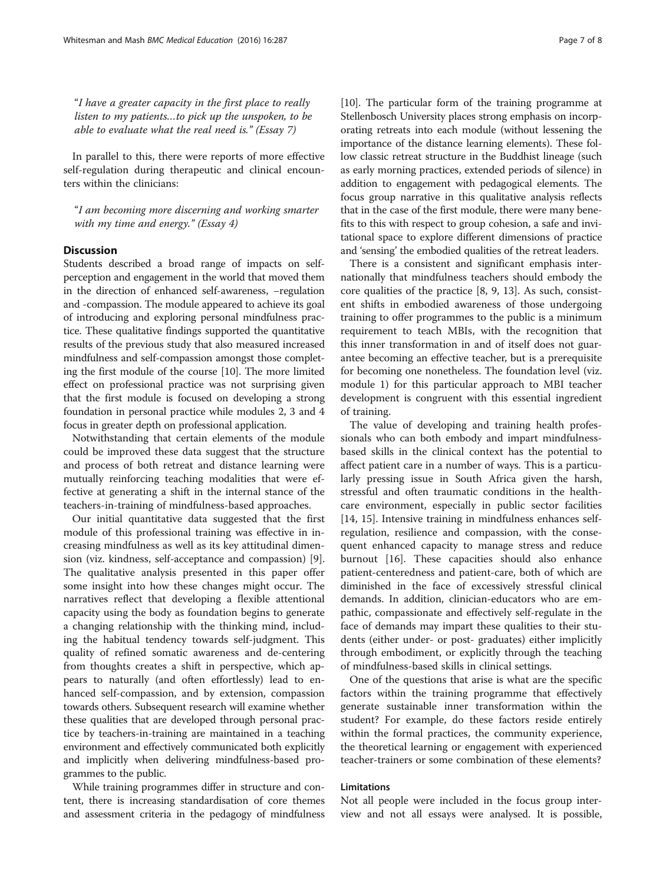"I have a greater capacity in the first place to really listen to my patients…to pick up the unspoken, to be able to evaluate what the real need is." (Essay 7)

In parallel to this, there were reports of more effective self-regulation during therapeutic and clinical encounters within the clinicians:

"I am becoming more discerning and working smarter with my time and energy." (Essay 4)

## **Discussion**

Students described a broad range of impacts on selfperception and engagement in the world that moved them in the direction of enhanced self-awareness, −regulation and -compassion. The module appeared to achieve its goal of introducing and exploring personal mindfulness practice. These qualitative findings supported the quantitative results of the previous study that also measured increased mindfulness and self-compassion amongst those completing the first module of the course [[10](#page-7-0)]. The more limited effect on professional practice was not surprising given that the first module is focused on developing a strong foundation in personal practice while modules 2, 3 and 4 focus in greater depth on professional application.

Notwithstanding that certain elements of the module could be improved these data suggest that the structure and process of both retreat and distance learning were mutually reinforcing teaching modalities that were effective at generating a shift in the internal stance of the teachers-in-training of mindfulness-based approaches.

Our initial quantitative data suggested that the first module of this professional training was effective in increasing mindfulness as well as its key attitudinal dimension (viz. kindness, self-acceptance and compassion) [\[9](#page-7-0)]. The qualitative analysis presented in this paper offer some insight into how these changes might occur. The narratives reflect that developing a flexible attentional capacity using the body as foundation begins to generate a changing relationship with the thinking mind, including the habitual tendency towards self-judgment. This quality of refined somatic awareness and de-centering from thoughts creates a shift in perspective, which appears to naturally (and often effortlessly) lead to enhanced self-compassion, and by extension, compassion towards others. Subsequent research will examine whether these qualities that are developed through personal practice by teachers-in-training are maintained in a teaching environment and effectively communicated both explicitly and implicitly when delivering mindfulness-based programmes to the public.

While training programmes differ in structure and content, there is increasing standardisation of core themes and assessment criteria in the pedagogy of mindfulness

[[10](#page-7-0)]. The particular form of the training programme at Stellenbosch University places strong emphasis on incorporating retreats into each module (without lessening the importance of the distance learning elements). These follow classic retreat structure in the Buddhist lineage (such as early morning practices, extended periods of silence) in addition to engagement with pedagogical elements. The focus group narrative in this qualitative analysis reflects that in the case of the first module, there were many benefits to this with respect to group cohesion, a safe and invitational space to explore different dimensions of practice and 'sensing' the embodied qualities of the retreat leaders.

There is a consistent and significant emphasis internationally that mindfulness teachers should embody the core qualities of the practice [\[8](#page-7-0), [9, 13\]](#page-7-0). As such, consistent shifts in embodied awareness of those undergoing training to offer programmes to the public is a minimum requirement to teach MBIs, with the recognition that this inner transformation in and of itself does not guarantee becoming an effective teacher, but is a prerequisite for becoming one nonetheless. The foundation level (viz. module 1) for this particular approach to MBI teacher development is congruent with this essential ingredient of training.

The value of developing and training health professionals who can both embody and impart mindfulnessbased skills in the clinical context has the potential to affect patient care in a number of ways. This is a particularly pressing issue in South Africa given the harsh, stressful and often traumatic conditions in the healthcare environment, especially in public sector facilities [[14, 15\]](#page-7-0). Intensive training in mindfulness enhances selfregulation, resilience and compassion, with the consequent enhanced capacity to manage stress and reduce burnout [[16\]](#page-7-0). These capacities should also enhance patient-centeredness and patient-care, both of which are diminished in the face of excessively stressful clinical demands. In addition, clinician-educators who are empathic, compassionate and effectively self-regulate in the face of demands may impart these qualities to their students (either under- or post- graduates) either implicitly through embodiment, or explicitly through the teaching of mindfulness-based skills in clinical settings.

One of the questions that arise is what are the specific factors within the training programme that effectively generate sustainable inner transformation within the student? For example, do these factors reside entirely within the formal practices, the community experience, the theoretical learning or engagement with experienced teacher-trainers or some combination of these elements?

## Limitations

Not all people were included in the focus group interview and not all essays were analysed. It is possible,